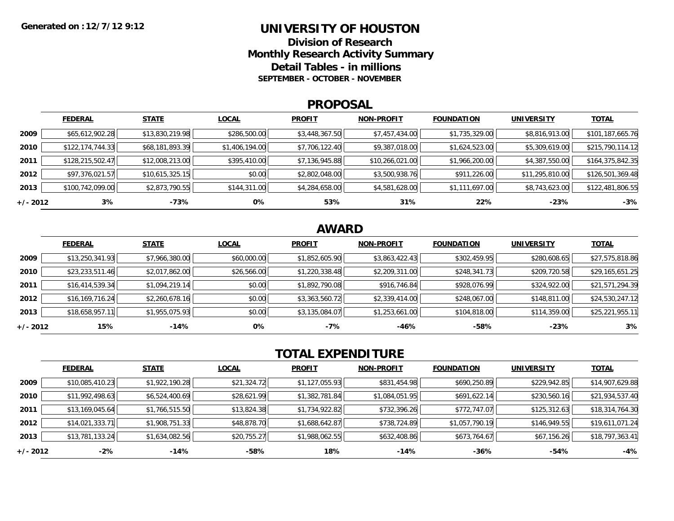### **UNIVERSITY OF HOUSTON**

**Division of ResearchMonthly Research Activity Summary Detail Tables - in millions SEPTEMBER - OCTOBER - NOVEMBER**

#### **PROPOSAL**

|            | <b>FEDERAL</b>     | <b>STATE</b>    | <b>LOCAL</b>   | <b>PROFIT</b>  | <b>NON-PROFIT</b> | <b>FOUNDATION</b> | <b>UNIVERSITY</b> | <u>TOTAL</u>     |
|------------|--------------------|-----------------|----------------|----------------|-------------------|-------------------|-------------------|------------------|
| 2009       | \$65,612,902.28    | \$13,830,219.98 | \$286,500.00   | \$3,448,367.50 | \$7,457,434.00    | \$1,735,329.00    | \$8,816,913.00    | \$101,187,665.76 |
| 2010       | \$122, 174, 744.33 | \$68,181,893.39 | \$1,406,194.00 | \$7,706,122.40 | \$9,387,018.00    | \$1,624,523.00    | \$5,309,619.00    | \$215,790,114.12 |
| 2011       | \$128,215,502.47   | \$12,008,213.00 | \$395,410.00   | \$7,136,945.88 | \$10,266,021.00   | \$1,966,200.00    | \$4,387,550.00    | \$164,375,842.35 |
| 2012       | \$97,376,021.57    | \$10,615,325.15 | \$0.00         | \$2,802,048.00 | \$3,500,938.76    | \$911,226.00      | \$11,295,810.00   | \$126,501,369.48 |
| 2013       | \$100,742,099.00   | \$2,873,790.55  | \$144,311.00   | \$4,284,658.00 | \$4,581,628.00    | \$1,111,697.00    | \$8,743,623.00    | \$122,481,806.55 |
| $+/- 2012$ | 3%                 | -73%            | 0%             | 53%            | 31%               | 22%               | $-23%$            | $-3%$            |

## **AWARD**

|          | <b>FEDERAL</b>    | <b>STATE</b>   | <b>LOCAL</b> | <b>PROFIT</b>  | <b>NON-PROFIT</b> | <b>FOUNDATION</b> | <b>UNIVERSITY</b> | <b>TOTAL</b>    |
|----------|-------------------|----------------|--------------|----------------|-------------------|-------------------|-------------------|-----------------|
| 2009     | \$13,250,341.93   | \$7,966,380.00 | \$60,000.00  | \$1,852,605.90 | \$3,863,422.43    | \$302,459.95      | \$280,608.65      | \$27,575,818.86 |
| 2010     | \$23,233,511.46   | \$2,017,862.00 | \$26,566.00  | \$1,220,338.48 | \$2,209,311.00    | \$248,341.73      | \$209,720.58      | \$29,165,651.25 |
| 2011     | \$16,414,539.34   | \$1,094,219.14 | \$0.00       | \$1,892,790.08 | \$916,746.84      | \$928,076.99      | \$324,922.00      | \$21,571,294.39 |
| 2012     | \$16, 169, 716.24 | \$2,260,678.16 | \$0.00       | \$3,363,560.72 | \$2,339,414.00    | \$248,067.00      | \$148,811.00      | \$24,530,247.12 |
| 2013     | \$18,658,957.11   | \$1,955,075.93 | \$0.00       | \$3,135,084.07 | \$1,253,661.00    | \$104,818.00      | \$114,359.00      | \$25,221,955.11 |
| +/- 2012 | 15%               | $-14%$         | 0%           | -7%            | -46%              | $-58%$            | $-23%$            | 3%              |

# **TOTAL EXPENDITURE**

|          | <b>FEDERAL</b>  | <b>STATE</b>   | <b>LOCAL</b> | <b>PROFIT</b>  | <b>NON-PROFIT</b> | <b>FOUNDATION</b> | <b>UNIVERSITY</b> | <b>TOTAL</b>    |
|----------|-----------------|----------------|--------------|----------------|-------------------|-------------------|-------------------|-----------------|
| 2009     | \$10,085,410.23 | \$1,922,190.28 | \$21,324.72  | \$1,127,055.93 | \$831,454.98      | \$690,250.89      | \$229,942.85      | \$14,907,629.88 |
| 2010     | \$11,992,498.63 | \$6,524,400.69 | \$28,621.99  | \$1,382,781.84 | \$1,084,051.95    | \$691,622.14      | \$230,560.16      | \$21,934,537.40 |
| 2011     | \$13,169,045.64 | \$1,766,515.50 | \$13,824.38  | \$1,734,922.82 | \$732,396.26      | \$772,747.07      | \$125,312.63      | \$18,314,764.30 |
| 2012     | \$14,021,333.71 | \$1,908,751.33 | \$48,878.70  | \$1,688,642.87 | \$738,724.89      | \$1,057,790.19    | \$146,949.55      | \$19,611,071.24 |
| 2013     | \$13,781,133.24 | \$1,634,082.56 | \$20,755.27  | \$1,988,062.55 | \$632,408.86      | \$673,764.67      | \$67,156.26       | \$18,797,363.41 |
| +/- 2012 | $-2%$           | $-14%$         | -58%         | 18%            | $-14%$            | -36%              | -54%              | -4%             |